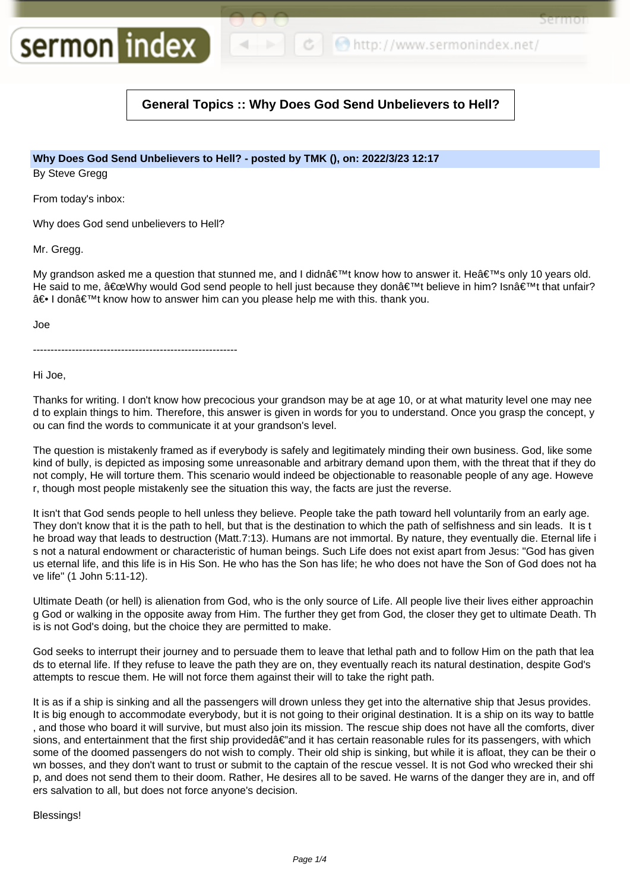http://www.sermonindex.net/

sermor

## **General Topics :: Why Does God Send Unbelievers to Hell?**

### **Why Does God Send Unbelievers to Hell? - posted by TMK (), on: 2022/3/23 12:17**

By Steve Gregg

From today's inbox:

Why does God send unbelievers to Hell?

sermon index

Mr. Gregg.

My grandson asked me a question that stunned me, and I didnâ€<sup>™</sup>t know how to answer it. He's only 10 years old. He said to me, "Why would God send people to hell just because they don't believe in him? Isn't that unfair?  $\hat{a} \oplus I$  don $\hat{a} \in \mathbb{N}$  know how to answer him can you please help me with this. thank you.

Joe

----------------------------------------------------------

Hi Joe,

Thanks for writing. I don't know how precocious your grandson may be at age 10, or at what maturity level one may nee d to explain things to him. Therefore, this answer is given in words for you to understand. Once you grasp the concept, y ou can find the words to communicate it at your grandson's level.

The question is mistakenly framed as if everybody is safely and legitimately minding their own business. God, like some kind of bully, is depicted as imposing some unreasonable and arbitrary demand upon them, with the threat that if they do not comply, He will torture them. This scenario would indeed be objectionable to reasonable people of any age. Howeve r, though most people mistakenly see the situation this way, the facts are just the reverse.

It isn't that God sends people to hell unless they believe. People take the path toward hell voluntarily from an early age. They don't know that it is the path to hell, but that is the destination to which the path of selfishness and sin leads. It is t he broad way that leads to destruction (Matt.7:13). Humans are not immortal. By nature, they eventually die. Eternal life i s not a natural endowment or characteristic of human beings. Such Life does not exist apart from Jesus: "God has given us eternal life, and this life is in His Son. He who has the Son has life; he who does not have the Son of God does not ha ve life" (1 John 5:11-12).

Ultimate Death (or hell) is alienation from God, who is the only source of Life. All people live their lives either approachin g God or walking in the opposite away from Him. The further they get from God, the closer they get to ultimate Death. Th is is not God's doing, but the choice they are permitted to make.

God seeks to interrupt their journey and to persuade them to leave that lethal path and to follow Him on the path that lea ds to eternal life. If they refuse to leave the path they are on, they eventually reach its natural destination, despite God's attempts to rescue them. He will not force them against their will to take the right path.

It is as if a ship is sinking and all the passengers will drown unless they get into the alternative ship that Jesus provides. It is big enough to accommodate everybody, but it is not going to their original destination. It is a ship on its way to battle , and those who board it will survive, but must also join its mission. The rescue ship does not have all the comforts, diver sions, and entertainment that the first ship provided $\hat{\epsilon}$  and it has certain reasonable rules for its passengers, with which some of the doomed passengers do not wish to comply. Their old ship is sinking, but while it is afloat, they can be their o wn bosses, and they don't want to trust or submit to the captain of the rescue vessel. It is not God who wrecked their shi p, and does not send them to their doom. Rather, He desires all to be saved. He warns of the danger they are in, and off ers salvation to all, but does not force anyone's decision.

Blessings!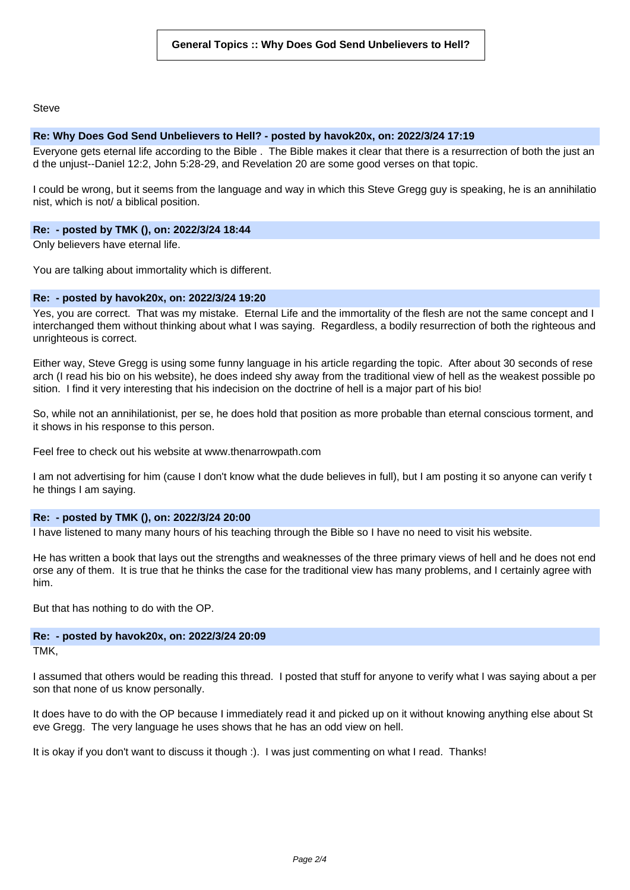**Steve** 

#### **Re: Why Does God Send Unbelievers to Hell? - posted by havok20x, on: 2022/3/24 17:19**

Everyone gets eternal life according to the Bible . The Bible makes it clear that there is a resurrection of both the just an d the unjust--Daniel 12:2, John 5:28-29, and Revelation 20 are some good verses on that topic.

I could be wrong, but it seems from the language and way in which this Steve Gregg guy is speaking, he is an annihilatio nist, which is not/ a biblical position.

#### **Re: - posted by TMK (), on: 2022/3/24 18:44**

Only believers have eternal life.

You are talking about immortality which is different.

#### **Re: - posted by havok20x, on: 2022/3/24 19:20**

Yes, you are correct. That was my mistake. Eternal Life and the immortality of the flesh are not the same concept and I interchanged them without thinking about what I was saying. Regardless, a bodily resurrection of both the righteous and unrighteous is correct.

Either way, Steve Gregg is using some funny language in his article regarding the topic. After about 30 seconds of rese arch (I read his bio on his website), he does indeed shy away from the traditional view of hell as the weakest possible po sition. I find it very interesting that his indecision on the doctrine of hell is a major part of his bio!

So, while not an annihilationist, per se, he does hold that position as more probable than eternal conscious torment, and it shows in his response to this person.

Feel free to check out his website at www.thenarrowpath.com

I am not advertising for him (cause I don't know what the dude believes in full), but I am posting it so anyone can verify t he things I am saying.

#### **Re: - posted by TMK (), on: 2022/3/24 20:00**

I have listened to many many hours of his teaching through the Bible so I have no need to visit his website.

He has written a book that lays out the strengths and weaknesses of the three primary views of hell and he does not end orse any of them. It is true that he thinks the case for the traditional view has many problems, and I certainly agree with him.

But that has nothing to do with the OP.

# **Re: - posted by havok20x, on: 2022/3/24 20:09**

TMK,

I assumed that others would be reading this thread. I posted that stuff for anyone to verify what I was saying about a per son that none of us know personally.

It does have to do with the OP because I immediately read it and picked up on it without knowing anything else about St eve Gregg. The very language he uses shows that he has an odd view on hell.

It is okay if you don't want to discuss it though :). I was just commenting on what I read. Thanks!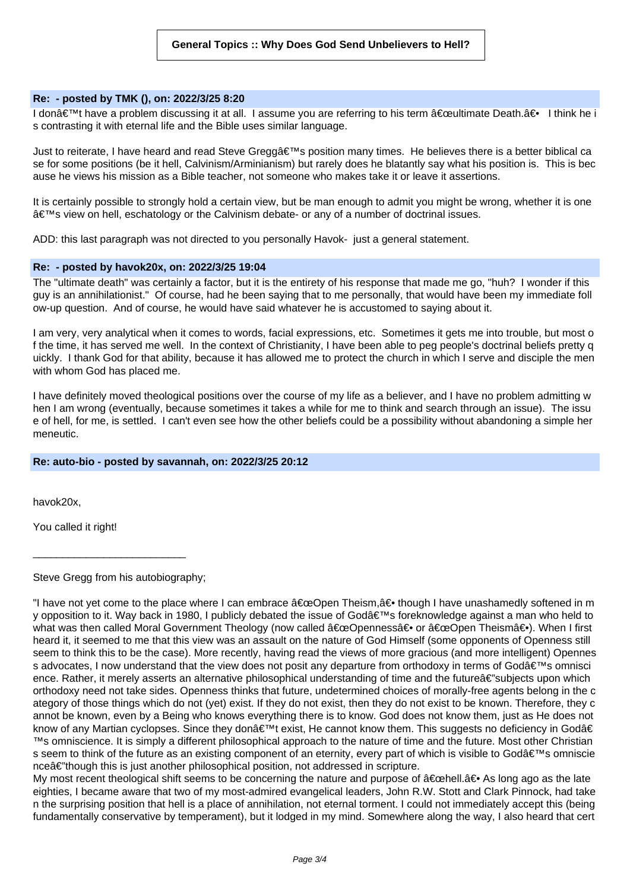#### **Re: - posted by TMK (), on: 2022/3/25 8:20**

I don't have a problem discussing it at all. I assume you are referring to his term "ultimate Death.â⊕ I think he i s contrasting it with eternal life and the Bible uses similar language.

Just to reiterate, I have heard and read Steve Greggâ < Ms position many times. He believes there is a better biblical ca se for some positions (be it hell, Calvinism/Arminianism) but rarely does he blatantly say what his position is. This is bec ause he views his mission as a Bible teacher, not someone who makes take it or leave it assertions.

It is certainly possible to strongly hold a certain view, but be man enough to admit you might be wrong, whether it is one 's view on hell, eschatology or the Calvinism debate- or any of a number of doctrinal issues.

ADD: this last paragraph was not directed to you personally Havok- just a general statement.

#### **Re: - posted by havok20x, on: 2022/3/25 19:04**

The "ultimate death" was certainly a factor, but it is the entirety of his response that made me go, "huh? I wonder if this guy is an annihilationist." Of course, had he been saying that to me personally, that would have been my immediate foll ow-up question. And of course, he would have said whatever he is accustomed to saying about it.

I am very, very analytical when it comes to words, facial expressions, etc. Sometimes it gets me into trouble, but most o f the time, it has served me well. In the context of Christianity, I have been able to peg people's doctrinal beliefs pretty q uickly. I thank God for that ability, because it has allowed me to protect the church in which I serve and disciple the men with whom God has placed me.

I have definitely moved theological positions over the course of my life as a believer, and I have no problem admitting w hen I am wrong (eventually, because sometimes it takes a while for me to think and search through an issue). The issu e of hell, for me, is settled. I can't even see how the other beliefs could be a possibility without abandoning a simple her meneutic.

#### **Re: auto-bio - posted by savannah, on: 2022/3/25 20:12**

havok20x,

You called it right!

Steve Gregg from his autobiography;

\_\_\_\_\_\_\_\_\_\_\_\_\_\_\_\_\_\_\_\_\_\_\_\_\_\_

"I have not yet come to the place where I can embrace "Open Theism,â<del>©</del> though I have unashamedly softened in m y opposition to it. Way back in 1980, I publicly debated the issue of God's foreknowledge against a man who held to what was then called Moral Government Theology (now called  $â€$ œOpennessâ∈ or  $â€$ œOpen Theismâ∈). When I first heard it, it seemed to me that this view was an assault on the nature of God Himself (some opponents of Openness still seem to think this to be the case). More recently, having read the views of more gracious (and more intelligent) Opennes s advocates, I now understand that the view does not posit any departure from orthodoxy in terms of Godâ€<sup>™</sup>s omnisci ence. Rather, it merely asserts an alternative philosophical understanding of time and the futureâ€'subjects upon which orthodoxy need not take sides. Openness thinks that future, undetermined choices of morally-free agents belong in the c ategory of those things which do not (yet) exist. If they do not exist, then they do not exist to be known. Therefore, they c annot be known, even by a Being who knows everything there is to know. God does not know them, just as He does not know of any Martian cyclopses. Since they don't exist, He cannot know them. This suggests no deficiency in Godâ€ ™s omniscience. It is simply a different philosophical approach to the nature of time and the future. Most other Christian s seem to think of the future as an existing component of an eternity, every part of which is visible to Godâ $\epsilon_{\text{IM}}$ s omniscie nceâe" though this is just another philosophical position, not addressed in scripture.

My most recent theological shift seems to be concerning the nature and purpose of  $\hat{\alpha} \in \text{C}$  as long ago as the late eighties, I became aware that two of my most-admired evangelical leaders, John R.W. Stott and Clark Pinnock, had take n the surprising position that hell is a place of annihilation, not eternal torment. I could not immediately accept this (being fundamentally conservative by temperament), but it lodged in my mind. Somewhere along the way, I also heard that cert